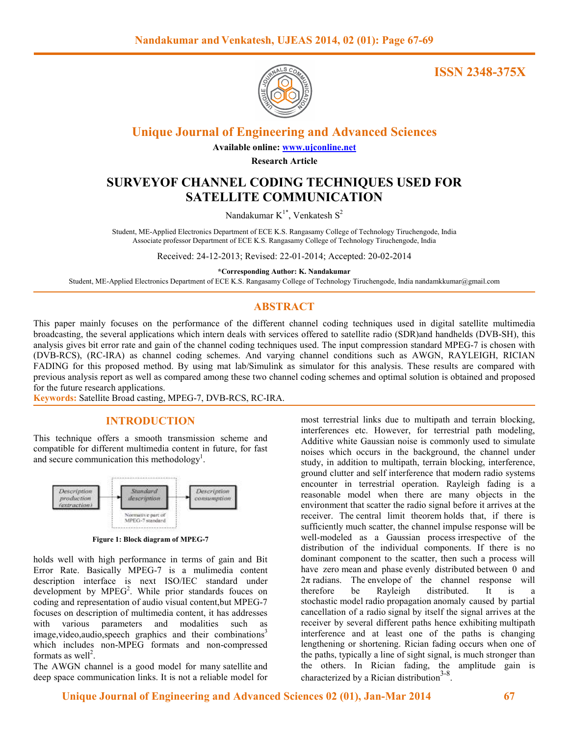

**ISSN 2348-375X**

**Unique Journal of Engineering and Advanced Sciences**

**Available online: www.ujconline.net**

**Research Article** 

# **SURVEYOF CHANNEL CODING TECHNIQUES USED FOR SATELLITE COMMUNICATION**

Nandakumar  $K^{1*}$ , Venkatesh  $S^2$ 

Student, ME-Applied Electronics Department of ECE K.S. Rangasamy College of Technology Tiruchengode, India Associate professor Department of ECE K.S. Rangasamy College of Technology Tiruchengode, India

Received: 24-12-2013; Revised: 22-01-2014; Accepted: 20-02-2014

**\*Corresponding Author: K. Nandakumar** 

Student, ME-Applied Electronics Department of ECE K.S. Rangasamy College of Technology Tiruchengode, India nandamkkumar@gmail.com

# **ABSTRACT**

This paper mainly focuses on the performance of the different channel coding techniques used in digital satellite multimedia broadcasting, the several applications which intern deals with services offered to satellite radio (SDR)and handhelds (DVB-SH), this analysis gives bit error rate and gain of the channel coding techniques used. The input compression standard MPEG-7 is chosen with (DVB-RCS), (RC-IRA) as channel coding schemes. And varying channel conditions such as AWGN, RAYLEIGH, RICIAN FADING for this proposed method. By using mat lab/Simulink as simulator for this analysis. These results are compared with previous analysis report as well as compared among these two channel coding schemes and optimal solution is obtained and proposed for the future research applications.

**Keywords:** Satellite Broad casting, MPEG-7, DVB-RCS, RC-IRA.

## **INTRODUCTION**

This technique offers a smooth transmission scheme and compatible for different multimedia content in future, for fast and secure communication this methodology<sup>1</sup>.



**Figure 1: Block diagram of MPEG-7** 

holds well with high performance in terms of gain and Bit Error Rate. Basically MPEG-7 is a mulimedia content description interface is next ISO/IEC standard under development by  $MPEG<sup>2</sup>$ . While prior standards fouces on coding and representation of audio visual content,but MPEG-7 focuses on description of multimedia content, it has addresses with various parameters and modalities such as image, video, audio, speech graphics and their combinations<sup>3</sup> which includes non-MPEG formats and non-compressed formats as well<sup>2</sup>.

The AWGN channel is a good model for many satellite and deep space communication links. It is not a reliable model for

most terrestrial links due to multipath and terrain blocking, interferences etc. However, for terrestrial path modeling, Additive white Gaussian noise is commonly used to simulate noises which occurs in the background, the channel under study, in addition to multipath, terrain blocking, interference, ground clutter and self interference that modern radio systems encounter in terrestrial operation. Rayleigh fading is a reasonable model when there are many objects in the environment that scatter the radio signal before it arrives at the receiver. The central limit theorem holds that, if there is sufficiently much scatter, the channel impulse response will be well-modeled as a Gaussian process irrespective of the distribution of the individual components. If there is no dominant component to the scatter, then such a process will have zero mean and phase evenly distributed between 0 and  $2\pi$  radians. The envelope of the channel response will therefore be Rayleigh distributed. It is a stochastic model radio propagation anomaly caused by partial cancellation of a radio signal by itself the signal arrives at the receiver by several different paths hence exhibiting multipath interference and at least one of the paths is changing lengthening or shortening. Rician fading occurs when one of the paths, typically a line of sight signal, is much stronger than the others. In Rician fading, the amplitude gain is characterized by a Rician distribution<sup>3-8</sup>.

 **Unique Journal of Engineering and Advanced Sciences 02 (01), Jan-Mar 2014 67**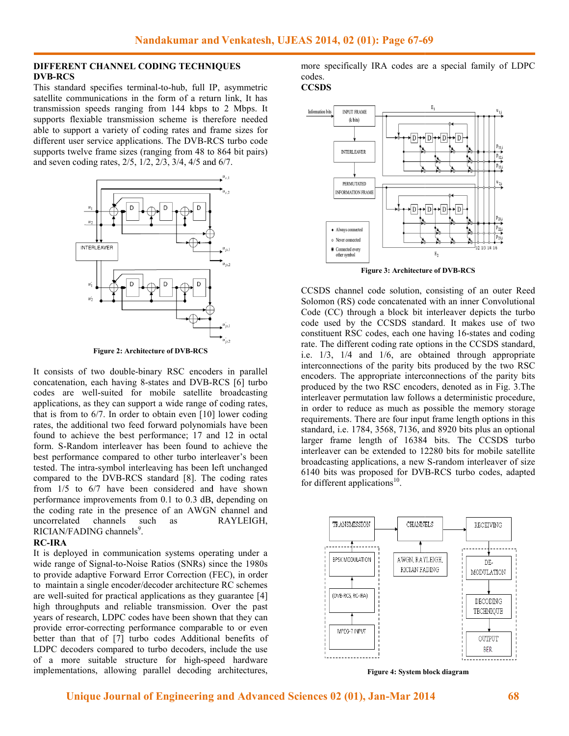### **DIFFERENT CHANNEL CODING TECHNIQUES DVB-RCS**

This standard specifies terminal-to-hub, full IP, asymmetric This standard specifies terminal-to-hub, full IP, asymmetric satellite communications in the form of a return link, It has transmission speeds ranging from 144 kbps to 2 Mbps. It supports flexiable transmission scheme is therefore needed supports flexiable transmission scheme is therefore needed able to support a variety of coding rates and frame sizes for different user service applications. The DVB-RCS turbo code supports twelve frame sizes (ranging from 48 to 864 bit pairs) and seven coding rates, 2/5, 1/2, 2/3, 3/4, 4/5 and 6/7.



**Figure 2: Architecture of DVB-RCS** 

It consists of two double-binary RSC encoders in parallel concatenation, each having 8-states and DVB-RCS [6] turbo codes are well-suited for mobile satellite broadcasting applications, as they can support a wide range of coding rates, that is from to 6/7. In order to obtain even [10] lower coding rates, the additional two feed forward polynomials have been found to achieve the best performance; 17 and 12 in octal form. S-Random interleaver has been found to achieve the form. S-Random interleaver has been found to achieve the best performance compared to other turbo interleaver's been tested. The intra-symbol interleaving has been left unchanged tested. The intra-symbol interleaving has been left unchanged compared to the DVB-RCS standard [8]. The coding rates from 1/5 to 6/7 have been considered and have shown performance improvements from 0.1 to 0.3 dB, depending on from  $1/5$  to  $6/7$  have been considered and have shown<br>performance improvements from 0.1 to 0.3 dB, depending on<br>the coding rate in the presence of an AWGN channel and uncorrelated channels such as RAYLEIGH, RICIAN/FADING channels<sup>9</sup>. uncorrelated channels such as RAYLEIGH,<br>
RICIAN/FADING channels<sup>9</sup>.<br> **RC-IRA**<br>
It is deployed in communication systems operating under a suited for mobile satellite broadcasting<br>ey can support a wide range of coding rates,<br>7. In order to obtain even [10] lower coding

#### **RC-IRA**

wide range of Signal-to-Noise Ratios (SNRs) since the 1980s to provide adaptive Forward Error Correction (FEC), in order to maintain a single encoder/decoder architecture RC schemes are well-suited for practical applications as they guarantee [4] are well-suited for practical applications as they guarantee [4] high throughputs and reliable transmission. Over the past years of research, LDPC codes have been shown that they can provide error-correcting performance comparable to or even better than that of [7] turbo codes Additional benefits of LDPC decoders compared to turbo decoders, include the use of a more suitable structure for high-speed hardware implementations, allowing parallel decoding architectures, correcting performance comparable to or even<br>at of [7] turbo codes Additional benefits of<br>rs compared to turbo decoders, include the use

more specifically IRA codes are a special family of LDPC codes.





**Figure 3: Architecture of DVB-RCS** 

CCSDS channel code solution, consisting of an outer Reed Solomon (RS) code concatenated with an inner Convolutional Solomon (RS) code Convolutional Code (CC) through a block bit interleaver depicts the turbo code used by the CCSDS standard. It makes use of two constituent RSC codes, each one having 16-states and coding rate. The different coding rate options in the CCSDS standard, i.e.  $1/3$ ,  $1/4$  and  $1/6$ , are obtained through appropriate interconnections of the parity bits produced by the two RSC encoders. The appropriate interconnections of the parity bits produced by the two RSC encoders, denoted as in Fig. 3.The interleaver permutation law follows a deterministic procedure, in order to reduce as much as possible the memory storage requirements. There are four input frame length options in this standard, i.e.  $1784$ ,  $3568$ ,  $7136$ , and  $8920$  bits plus an optional larger frame length of 16384 bits. The CCSDS turbo interleaver can be extended to 12280 bits for mobile satellite broadcasting applications, a new S 6140 bits was proposed for DVB-RCS turbo codes, adapted for different applications $^{10}$ . 7-69<br>
are a special family of LE<br> **Example 12**<br> **Example 12**<br> **Example 12**<br> **Example 12**<br> **Example 12**<br> **Example 12**<br> **Example 12**<br> **Example 12**<br> **Example 12**<br> **Example 12**<br> **Example 12**<br> **Example 12**<br> **Example 12**<br> **Exam** length of 16384 bits. The CCSDS turbo<br>be extended to 12280 bits for mobile satellite<br>plications, a new S-random interleaver of size



**Figure 4: System block diagram**

**Unique Journal of Engineering and Advanced Sciences 02 (01), Jan-Mar 201**